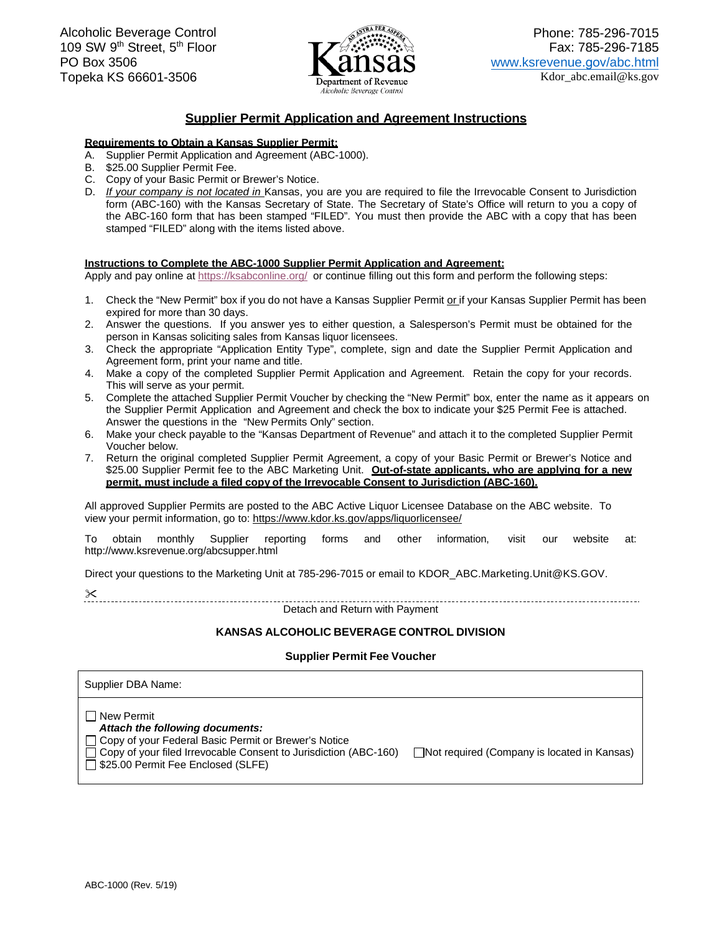

### **Supplier Permit Application and Agreement Instructions**

### **Requirements to Obtain a Kansas Supplier Permit:**

- A. Supplier Permit Application and Agreement (ABC-1000).
- B. \$25.00 Supplier Permit Fee.
- C. Copy of your Basic Permit or Brewer's Notice.
- D. If your company is not located in Kansas, you are you are required to file the Irrevocable Consent to Jurisdiction form (ABC-160) with the Kansas Secretary of State. The Secretary of State's Office will return to you a copy of the ABC-160 form that has been stamped "FILED". You must then provide the ABC with a copy that has been stamped "FILED" along with the items listed above.

### **Instructions to Complete the ABC-1000 Supplier Permit Application and Agreement:**

Apply and pay online at <u>https://ksabconline.org/</u> or continue filling out this form and perform the following steps:

- 1. Check the "New Permit" box if you do not have a Kansas Supplier Permit or if your Kansas Supplier Permit has been expired for more than 30 days.
- 2. Answer the questions. If you answer yes to either question, a Salesperson's Permit must be obtained for the person in Kansas soliciting sales from Kansas liquor licensees.
- 3. Check the appropriate "Application Entity Type", complete, sign and date the Supplier Permit Application and Agreement form, print your name and title.
- 4. Make a copy of the completed Supplier Permit Application and Agreement. Retain the copy for your records. This will serve as your permit.
- 5. Complete the attached Supplier Permit Voucher by checking the "New Permit" box, enter the name as it appears on the Supplier Permit Application and Agreement and check the box to indicate your \$25 Permit Fee is attached. Answer the questions in the "New Permits Only" section.
- 6. Make your check payable to the "Kansas Department of Revenue" and attach it to the completed Supplier Permit Voucher below.
- 7. Return the original completed Supplier Permit Agreement, a copy of your Basic Permit or Brewer's Notice and \$25.00 Supplier Permit fee to the ABC Marketing Unit. **Out-of-state applicants, who are applying for a new permit, must include a filed copy of the Irrevocable Consent to Jurisdiction (ABC-160).**

 All approved Supplier Permits are posted to the ABC Active Liquor Licensee Database on the ABC website. To view your permit information, go to: https://www.kdor.ks.gov/apps/liquorlicensee/

To obtain monthly Supplier reporting forms and other information, visit our website at: <http://www.ksrevenue.org/abcsupper.html>

Direct your questions to the Marketing Unit at 785-296-7015 or email to KDOR\_ABC.Marketing.Unit@KS.GOV.

Detach and Return with Payment

# **KANSAS ALCOHOLIC BEVERAGE CONTROL DIVISIONSupplier Permit Fee Voucher**

### **Permit Fee Voucher**

| Supplier DBA Name:                                                                                                                                                                                                         |                                                    |
|----------------------------------------------------------------------------------------------------------------------------------------------------------------------------------------------------------------------------|----------------------------------------------------|
| New Permit<br>Attach the following documents:<br>□ Copy of your Federal Basic Permit or Brewer's Notice<br>$\Box$ Copy of your filed Irrevocable Consent to Jurisdiction (ABC-160)<br>□ \$25.00 Permit Fee Enclosed (SLFE) | $\Box$ Not required (Company is located in Kansas) |